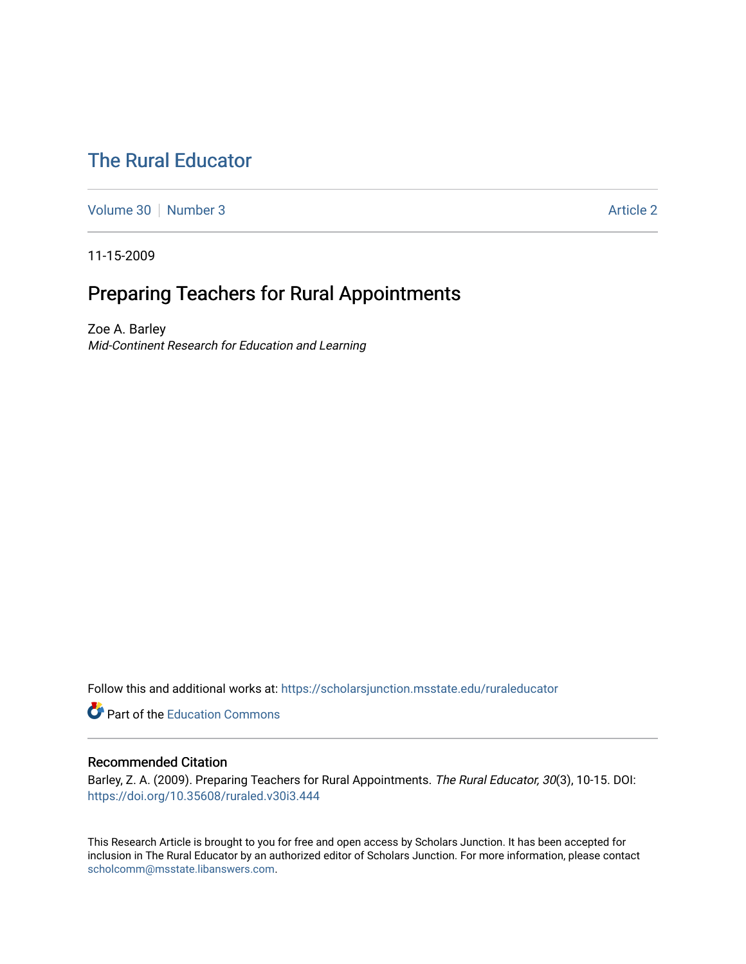# [The Rural Educator](https://scholarsjunction.msstate.edu/ruraleducator)

[Volume 30](https://scholarsjunction.msstate.edu/ruraleducator/vol30) [Number 3](https://scholarsjunction.msstate.edu/ruraleducator/vol30/iss3) Article 2

11-15-2009

# Preparing Teachers for Rural Appointments

Zoe A. Barley Mid-Continent Research for Education and Learning

Follow this and additional works at: [https://scholarsjunction.msstate.edu/ruraleducator](https://scholarsjunction.msstate.edu/ruraleducator?utm_source=scholarsjunction.msstate.edu%2Fruraleducator%2Fvol30%2Fiss3%2F2&utm_medium=PDF&utm_campaign=PDFCoverPages)

**C** Part of the [Education Commons](http://network.bepress.com/hgg/discipline/784?utm_source=scholarsjunction.msstate.edu%2Fruraleducator%2Fvol30%2Fiss3%2F2&utm_medium=PDF&utm_campaign=PDFCoverPages)

# Recommended Citation

Barley, Z. A. (2009). Preparing Teachers for Rural Appointments. The Rural Educator, 30(3), 10-15. DOI: <https://doi.org/10.35608/ruraled.v30i3.444>

This Research Article is brought to you for free and open access by Scholars Junction. It has been accepted for inclusion in The Rural Educator by an authorized editor of Scholars Junction. For more information, please contact [scholcomm@msstate.libanswers.com.](mailto:scholcomm@msstate.libanswers.com)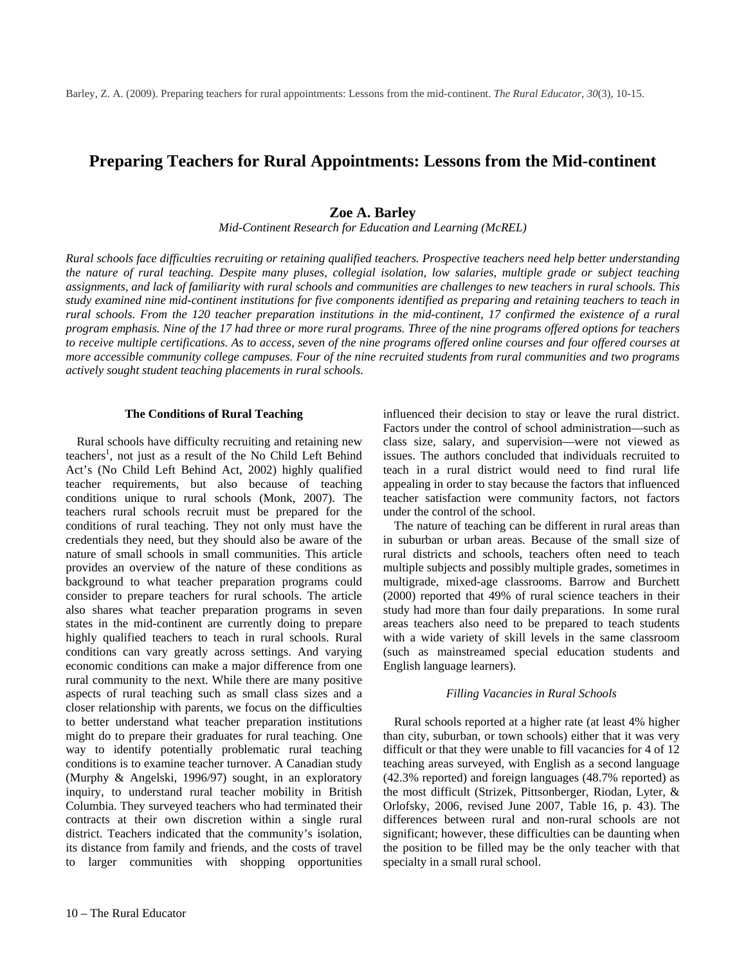# **Preparing Teachers for Rural Appointments: Lessons from the Mid-continent**

## **Zoe A. Barley**

*Mid-Continent Research for Education and Learning (McREL)* 

*Rural schools face difficulties recruiting or retaining qualified teachers. Prospective teachers need help better understanding the nature of rural teaching. Despite many pluses, collegial isolation, low salaries, multiple grade or subject teaching assignments, and lack of familiarity with rural schools and communities are challenges to new teachers in rural schools. This study examined nine mid-continent institutions for five components identified as preparing and retaining teachers to teach in rural schools. From the 120 teacher preparation institutions in the mid-continent, 17 confirmed the existence of a rural program emphasis. Nine of the 17 had three or more rural programs. Three of the nine programs offered options for teachers to receive multiple certifications. As to access, seven of the nine programs offered online courses and four offered courses at more accessible community college campuses. Four of the nine recruited students from rural communities and two programs actively sought student teaching placements in rural schools.*

#### **The Conditions of Rural Teaching**

Rural schools have difficulty recruiting and retaining new teachers<sup>1</sup>, not just as a result of the No Child Left Behind Act's (No Child Left Behind Act, 2002) highly qualified teacher requirements, but also because of teaching conditions unique to rural schools (Monk, 2007). The teachers rural schools recruit must be prepared for the conditions of rural teaching. They not only must have the credentials they need, but they should also be aware of the nature of small schools in small communities. This article provides an overview of the nature of these conditions as background to what teacher preparation programs could consider to prepare teachers for rural schools. The article also shares what teacher preparation programs in seven states in the mid-continent are currently doing to prepare highly qualified teachers to teach in rural schools. Rural conditions can vary greatly across settings. And varying economic conditions can make a major difference from one rural community to the next. While there are many positive aspects of rural teaching such as small class sizes and a closer relationship with parents, we focus on the difficulties to better understand what teacher preparation institutions might do to prepare their graduates for rural teaching. One way to identify potentially problematic rural teaching conditions is to examine teacher turnover. A Canadian study (Murphy & Angelski, 1996/97) sought, in an exploratory inquiry, to understand rural teacher mobility in British Columbia. They surveyed teachers who had terminated their contracts at their own discretion within a single rural district. Teachers indicated that the community's isolation, its distance from family and friends, and the costs of travel to larger communities with shopping opportunities

influenced their decision to stay or leave the rural district. Factors under the control of school administration—such as class size, salary, and supervision—were not viewed as issues. The authors concluded that individuals recruited to teach in a rural district would need to find rural life appealing in order to stay because the factors that influenced teacher satisfaction were community factors, not factors under the control of the school.

The nature of teaching can be different in rural areas than in suburban or urban areas. Because of the small size of rural districts and schools, teachers often need to teach multiple subjects and possibly multiple grades, sometimes in multigrade, mixed-age classrooms. Barrow and Burchett (2000) reported that 49% of rural science teachers in their study had more than four daily preparations. In some rural areas teachers also need to be prepared to teach students with a wide variety of skill levels in the same classroom (such as mainstreamed special education students and English language learners).

#### *Filling Vacancies in Rural Schools*

Rural schools reported at a higher rate (at least 4% higher than city, suburban, or town schools) either that it was very difficult or that they were unable to fill vacancies for 4 of 12 teaching areas surveyed, with English as a second language (42.3% reported) and foreign languages (48.7% reported) as the most difficult (Strizek, Pittsonberger, Riodan, Lyter, & Orlofsky, 2006, revised June 2007, Table 16, p. 43). The differences between rural and non-rural schools are not significant; however, these difficulties can be daunting when the position to be filled may be the only teacher with that specialty in a small rural school.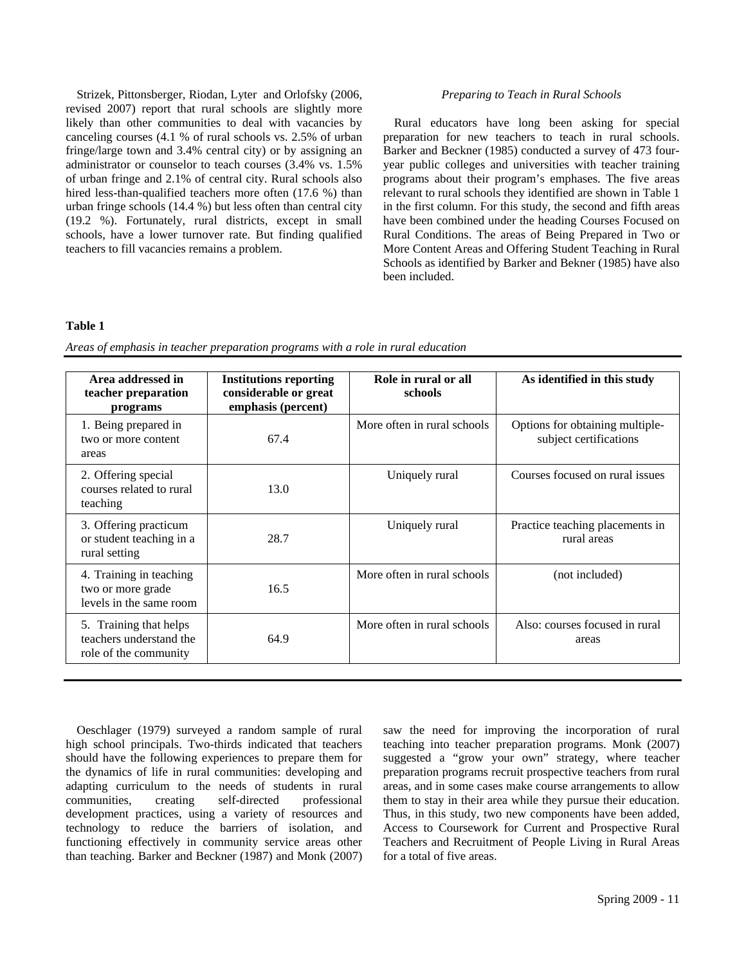Strizek, Pittonsberger, Riodan, Lyter and Orlofsky (2006, revised 2007) report that rural schools are slightly more likely than other communities to deal with vacancies by canceling courses (4.1 % of rural schools vs. 2.5% of urban fringe/large town and 3.4% central city) or by assigning an administrator or counselor to teach courses (3.4% vs. 1.5% of urban fringe and 2.1% of central city. Rural schools also hired less-than-qualified teachers more often (17.6 %) than urban fringe schools (14.4 %) but less often than central city (19.2 %). Fortunately, rural districts, except in small schools, have a lower turnover rate. But finding qualified teachers to fill vacancies remains a problem.

#### *Preparing to Teach in Rural Schools*

Rural educators have long been asking for special preparation for new teachers to teach in rural schools. Barker and Beckner (1985) conducted a survey of 473 fouryear public colleges and universities with teacher training programs about their program's emphases. The five areas relevant to rural schools they identified are shown in Table 1 in the first column. For this study, the second and fifth areas have been combined under the heading Courses Focused on Rural Conditions. The areas of Being Prepared in Two or More Content Areas and Offering Student Teaching in Rural Schools as identified by Barker and Bekner (1985) have also been included.

#### **Table 1**

*Areas of emphasis in teacher preparation programs with a role in rural education* 

| Area addressed in<br>teacher preparation<br>programs                       | <b>Institutions reporting</b><br>considerable or great<br>emphasis (percent) | Role in rural or all<br>schools | As identified in this study                               |
|----------------------------------------------------------------------------|------------------------------------------------------------------------------|---------------------------------|-----------------------------------------------------------|
| 1. Being prepared in<br>two or more content<br>areas                       | 67.4                                                                         | More often in rural schools     | Options for obtaining multiple-<br>subject certifications |
| 2. Offering special<br>courses related to rural<br>teaching                | 13.0                                                                         | Uniquely rural                  | Courses focused on rural issues                           |
| 3. Offering practicum<br>or student teaching in a<br>rural setting         | 28.7                                                                         | Uniquely rural                  | Practice teaching placements in<br>rural areas            |
| 4. Training in teaching<br>two or more grade<br>levels in the same room    | 16.5                                                                         | More often in rural schools     | (not included)                                            |
| 5. Training that helps<br>teachers understand the<br>role of the community | 64.9                                                                         | More often in rural schools     | Also: courses focused in rural<br>areas                   |

Oeschlager (1979) surveyed a random sample of rural high school principals. Two-thirds indicated that teachers should have the following experiences to prepare them for the dynamics of life in rural communities: developing and adapting curriculum to the needs of students in rural communities, creating self-directed professional development practices, using a variety of resources and technology to reduce the barriers of isolation, and functioning effectively in community service areas other than teaching. Barker and Beckner (1987) and Monk (2007) saw the need for improving the incorporation of rural teaching into teacher preparation programs. Monk (2007) suggested a "grow your own" strategy, where teacher preparation programs recruit prospective teachers from rural areas, and in some cases make course arrangements to allow them to stay in their area while they pursue their education. Thus, in this study, two new components have been added, Access to Coursework for Current and Prospective Rural Teachers and Recruitment of People Living in Rural Areas for a total of five areas.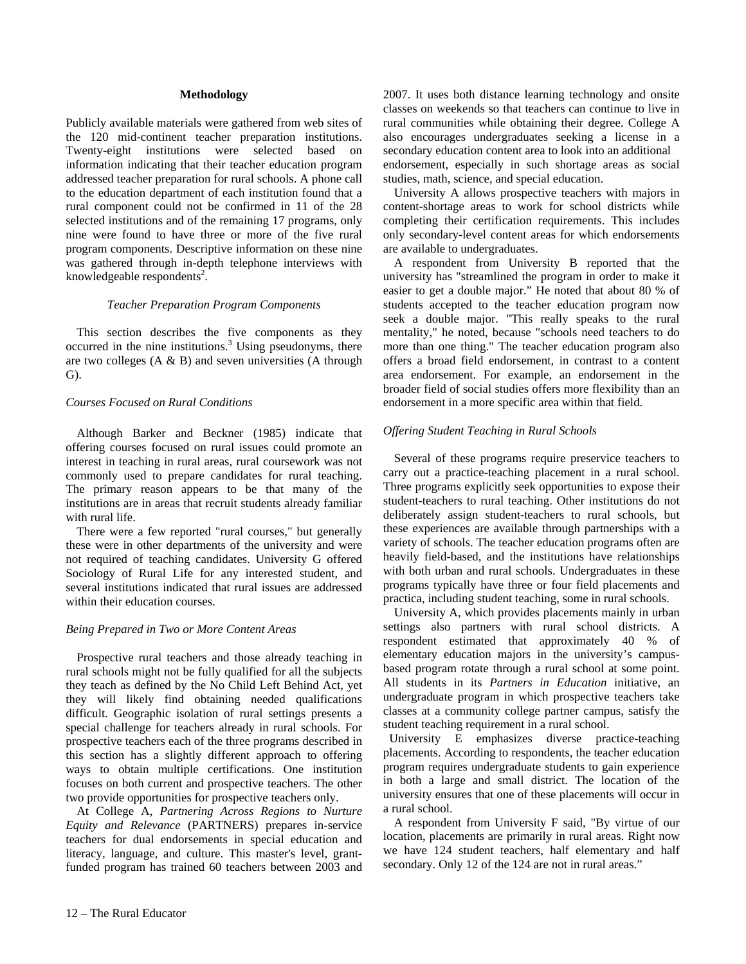#### **Methodology**

Publicly available materials were gathered from web sites of the 120 mid-continent teacher preparation institutions. Twenty-eight institutions were selected based on information indicating that their teacher education program addressed teacher preparation for rural schools. A phone call to the education department of each institution found that a rural component could not be confirmed in 11 of the 28 selected institutions and of the remaining 17 programs, only nine were found to have three or more of the five rural program components. Descriptive information on these nine was gathered through in-depth telephone interviews with knowledgeable respondents<sup>2</sup>.

#### *Teacher Preparation Program Components*

This section describes the five components as they  $occurred$  in the nine institutions. $3$  Using pseudonyms, there are two colleges (A & B) and seven universities (A through G).

#### *Courses Focused on Rural Conditions*

Although Barker and Beckner (1985) indicate that offering courses focused on rural issues could promote an interest in teaching in rural areas, rural coursework was not commonly used to prepare candidates for rural teaching. The primary reason appears to be that many of the institutions are in areas that recruit students already familiar with rural life.

There were a few reported "rural courses," but generally these were in other departments of the university and were not required of teaching candidates. University G offered Sociology of Rural Life for any interested student, and several institutions indicated that rural issues are addressed within their education courses.

#### *Being Prepared in Two or More Content Areas*

Prospective rural teachers and those already teaching in rural schools might not be fully qualified for all the subjects they teach as defined by the No Child Left Behind Act, yet they will likely find obtaining needed qualifications difficult. Geographic isolation of rural settings presents a special challenge for teachers already in rural schools. For prospective teachers each of the three programs described in this section has a slightly different approach to offering ways to obtain multiple certifications. One institution focuses on both current and prospective teachers. The other two provide opportunities for prospective teachers only.

At College A, *Partnering Across Regions to Nurture Equity and Relevance* (PARTNERS) prepares in-service teachers for dual endorsements in special education and literacy, language, and culture. This master's level, grantfunded program has trained 60 teachers between 2003 and 2007. It uses both distance learning technology and onsite classes on weekends so that teachers can continue to live in rural communities while obtaining their degree. College A also encourages undergraduates seeking a license in a secondary education content area to look into an additional endorsement, especially in such shortage areas as social studies, math, science, and special education.

University A allows prospective teachers with majors in content-shortage areas to work for school districts while completing their certification requirements. This includes only secondary-level content areas for which endorsements are available to undergraduates.

A respondent from University B reported that the university has "streamlined the program in order to make it easier to get a double major." He noted that about 80 % of students accepted to the teacher education program now seek a double major. "This really speaks to the rural mentality," he noted, because "schools need teachers to do more than one thing." The teacher education program also offers a broad field endorsement, in contrast to a content area endorsement. For example, an endorsement in the broader field of social studies offers more flexibility than an endorsement in a more specific area within that field.

#### *Offering Student Teaching in Rural Schools*

Several of these programs require preservice teachers to carry out a practice-teaching placement in a rural school. Three programs explicitly seek opportunities to expose their student-teachers to rural teaching. Other institutions do not deliberately assign student-teachers to rural schools, but these experiences are available through partnerships with a variety of schools. The teacher education programs often are heavily field-based, and the institutions have relationships with both urban and rural schools. Undergraduates in these programs typically have three or four field placements and practica, including student teaching, some in rural schools.

University A, which provides placements mainly in urban settings also partners with rural school districts. A respondent estimated that approximately 40 % of elementary education majors in the university's campusbased program rotate through a rural school at some point. All students in its *Partners in Education* initiative, an undergraduate program in which prospective teachers take classes at a community college partner campus, satisfy the student teaching requirement in a rural school.

 University E emphasizes diverse practice-teaching placements. According to respondents, the teacher education program requires undergraduate students to gain experience in both a large and small district. The location of the university ensures that one of these placements will occur in a rural school.

A respondent from University F said, "By virtue of our location, placements are primarily in rural areas. Right now we have 124 student teachers, half elementary and half secondary. Only 12 of the 124 are not in rural areas."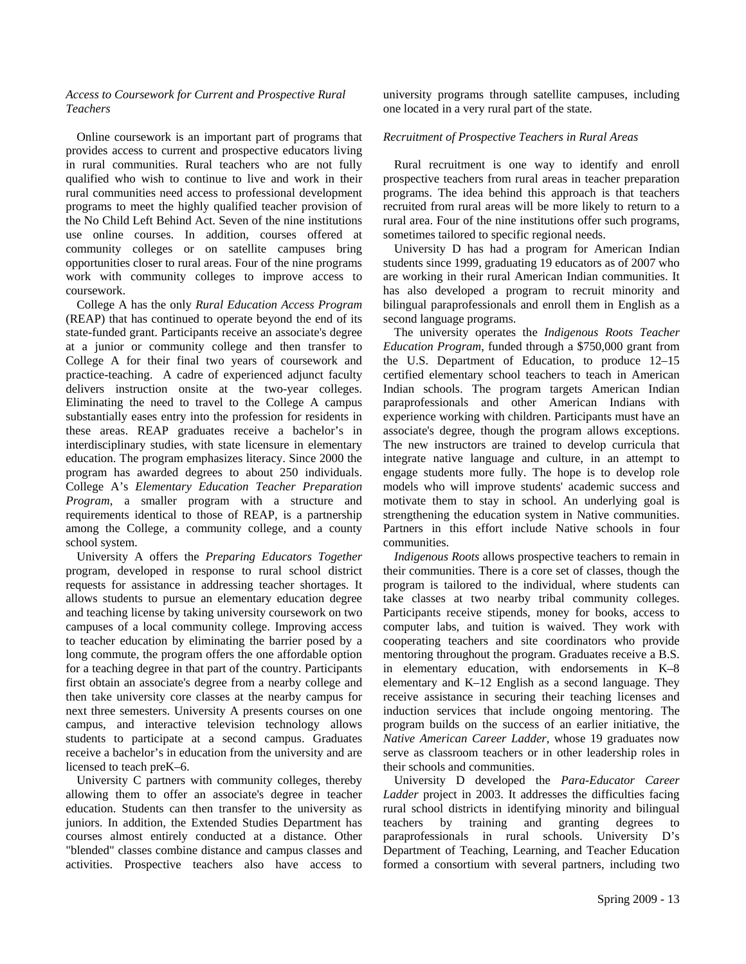### *Access to Coursework for Current and Prospective Rural Teachers*

Online coursework is an important part of programs that provides access to current and prospective educators living in rural communities. Rural teachers who are not fully qualified who wish to continue to live and work in their rural communities need access to professional development programs to meet the highly qualified teacher provision of the No Child Left Behind Act. Seven of the nine institutions use online courses. In addition, courses offered at community colleges or on satellite campuses bring opportunities closer to rural areas. Four of the nine programs work with community colleges to improve access to coursework.

College A has the only *Rural Education Access Program* (REAP) that has continued to operate beyond the end of its state-funded grant. Participants receive an associate's degree at a junior or community college and then transfer to College A for their final two years of coursework and practice-teaching. A cadre of experienced adjunct faculty delivers instruction onsite at the two-year colleges. Eliminating the need to travel to the College A campus substantially eases entry into the profession for residents in these areas. REAP graduates receive a bachelor's in interdisciplinary studies, with state licensure in elementary education. The program emphasizes literacy. Since 2000 the program has awarded degrees to about 250 individuals. College A's *Elementary Education Teacher Preparation Program*, a smaller program with a structure and requirements identical to those of REAP, is a partnership among the College, a community college, and a county school system.

University A offers the *Preparing Educators Together* program, developed in response to rural school district requests for assistance in addressing teacher shortages. It allows students to pursue an elementary education degree and teaching license by taking university coursework on two campuses of a local community college. Improving access to teacher education by eliminating the barrier posed by a long commute, the program offers the one affordable option for a teaching degree in that part of the country. Participants first obtain an associate's degree from a nearby college and then take university core classes at the nearby campus for next three semesters. University A presents courses on one campus, and interactive television technology allows students to participate at a second campus. Graduates receive a bachelor's in education from the university and are licensed to teach preK–6.

University C partners with community colleges, thereby allowing them to offer an associate's degree in teacher education. Students can then transfer to the university as juniors. In addition, the Extended Studies Department has courses almost entirely conducted at a distance. Other "blended" classes combine distance and campus classes and activities. Prospective teachers also have access to

university programs through satellite campuses, including one located in a very rural part of the state.

### *Recruitment of Prospective Teachers in Rural Areas*

Rural recruitment is one way to identify and enroll prospective teachers from rural areas in teacher preparation programs. The idea behind this approach is that teachers recruited from rural areas will be more likely to return to a rural area. Four of the nine institutions offer such programs, sometimes tailored to specific regional needs.

University D has had a program for American Indian students since 1999, graduating 19 educators as of 2007 who are working in their rural American Indian communities. It has also developed a program to recruit minority and bilingual paraprofessionals and enroll them in English as a second language programs.

The university operates the *Indigenous Roots Teacher Education Program*, funded through a \$750,000 grant from the U.S. Department of Education, to produce 12–15 certified elementary school teachers to teach in American Indian schools. The program targets American Indian paraprofessionals and other American Indians with experience working with children. Participants must have an associate's degree, though the program allows exceptions. The new instructors are trained to develop curricula that integrate native language and culture, in an attempt to engage students more fully. The hope is to develop role models who will improve students' academic success and motivate them to stay in school. An underlying goal is strengthening the education system in Native communities. Partners in this effort include Native schools in four communities.

*Indigenous Roots* allows prospective teachers to remain in their communities. There is a core set of classes, though the program is tailored to the individual, where students can take classes at two nearby tribal community colleges. Participants receive stipends, money for books, access to computer labs, and tuition is waived. They work with cooperating teachers and site coordinators who provide mentoring throughout the program. Graduates receive a B.S. in elementary education, with endorsements in K–8 elementary and K–12 English as a second language. They receive assistance in securing their teaching licenses and induction services that include ongoing mentoring. The program builds on the success of an earlier initiative, the *Native American Career Ladder*, whose 19 graduates now serve as classroom teachers or in other leadership roles in their schools and communities.

University D developed the *Para-Educator Career Ladder* project in 2003. It addresses the difficulties facing rural school districts in identifying minority and bilingual teachers by training and granting degrees to paraprofessionals in rural schools. University D's Department of Teaching, Learning, and Teacher Education formed a consortium with several partners, including two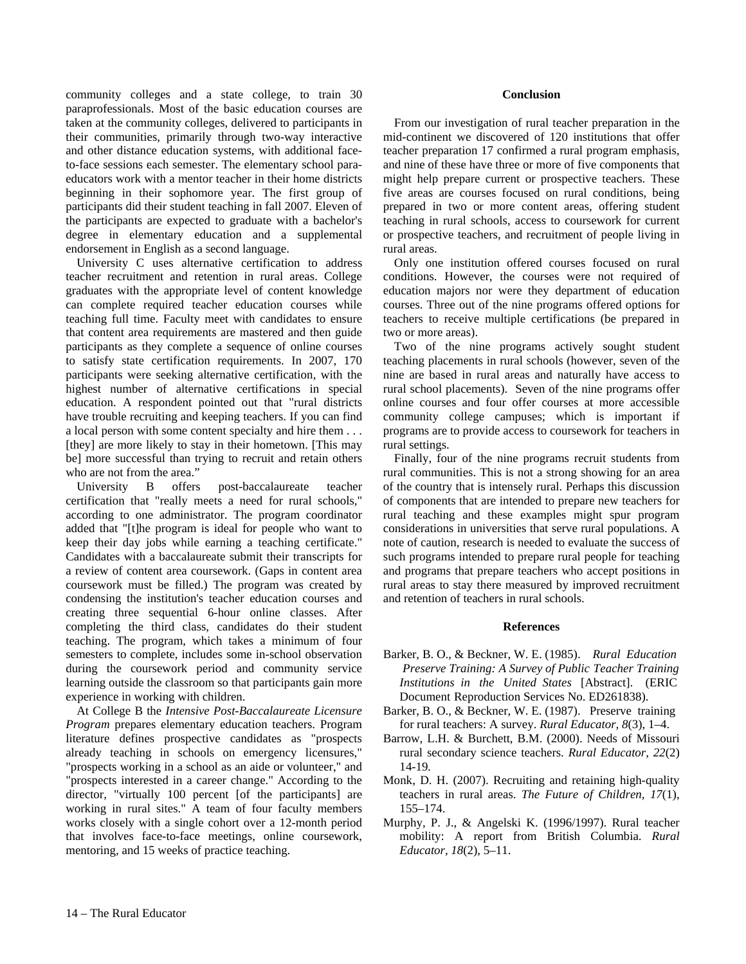community colleges and a state college, to train 30 paraprofessionals. Most of the basic education courses are taken at the community colleges, delivered to participants in their communities, primarily through two-way interactive and other distance education systems, with additional faceto-face sessions each semester. The elementary school paraeducators work with a mentor teacher in their home districts beginning in their sophomore year. The first group of participants did their student teaching in fall 2007. Eleven of the participants are expected to graduate with a bachelor's degree in elementary education and a supplemental endorsement in English as a second language.

University C uses alternative certification to address teacher recruitment and retention in rural areas. College graduates with the appropriate level of content knowledge can complete required teacher education courses while teaching full time. Faculty meet with candidates to ensure that content area requirements are mastered and then guide participants as they complete a sequence of online courses to satisfy state certification requirements. In 2007, 170 participants were seeking alternative certification, with the highest number of alternative certifications in special education. A respondent pointed out that "rural districts have trouble recruiting and keeping teachers. If you can find a local person with some content specialty and hire them . . . [they] are more likely to stay in their hometown. [This may be] more successful than trying to recruit and retain others who are not from the area."

University B offers post-baccalaureate teacher certification that "really meets a need for rural schools," according to one administrator. The program coordinator added that "[t]he program is ideal for people who want to keep their day jobs while earning a teaching certificate." Candidates with a baccalaureate submit their transcripts for a review of content area coursework. (Gaps in content area coursework must be filled.) The program was created by condensing the institution's teacher education courses and creating three sequential 6-hour online classes. After completing the third class, candidates do their student teaching. The program, which takes a minimum of four semesters to complete, includes some in-school observation during the coursework period and community service learning outside the classroom so that participants gain more experience in working with children.

At College B the *Intensive Post-Baccalaureate Licensure Program* prepares elementary education teachers. Program literature defines prospective candidates as "prospects already teaching in schools on emergency licensures," "prospects working in a school as an aide or volunteer," and "prospects interested in a career change." According to the director, "virtually 100 percent [of the participants] are working in rural sites." A team of four faculty members works closely with a single cohort over a 12-month period that involves face-to-face meetings, online coursework, mentoring, and 15 weeks of practice teaching.

#### **Conclusion**

From our investigation of rural teacher preparation in the mid-continent we discovered of 120 institutions that offer teacher preparation 17 confirmed a rural program emphasis, and nine of these have three or more of five components that might help prepare current or prospective teachers. These five areas are courses focused on rural conditions, being prepared in two or more content areas, offering student teaching in rural schools, access to coursework for current or prospective teachers, and recruitment of people living in rural areas.

Only one institution offered courses focused on rural conditions. However, the courses were not required of education majors nor were they department of education courses. Three out of the nine programs offered options for teachers to receive multiple certifications (be prepared in two or more areas).

Two of the nine programs actively sought student teaching placements in rural schools (however, seven of the nine are based in rural areas and naturally have access to rural school placements). Seven of the nine programs offer online courses and four offer courses at more accessible community college campuses; which is important if programs are to provide access to coursework for teachers in rural settings.

Finally, four of the nine programs recruit students from rural communities. This is not a strong showing for an area of the country that is intensely rural. Perhaps this discussion of components that are intended to prepare new teachers for rural teaching and these examples might spur program considerations in universities that serve rural populations. A note of caution, research is needed to evaluate the success of such programs intended to prepare rural people for teaching and programs that prepare teachers who accept positions in rural areas to stay there measured by improved recruitment and retention of teachers in rural schools.

#### **References**

- Barker, B. O., & Beckner, W. E. (1985). *Rural Education Preserve Training: A Survey of Public Teacher Training Institutions in the United States* [Abstract]. (ERIC Document Reproduction Services No. ED261838).
- Barker, B. O., & Beckner, W. E. (1987). Preserve training for rural teachers: A survey. *Rural Educator, 8*(3), 1–4.
- Barrow, L.H. & Burchett, B.M. (2000). Needs of Missouri rural secondary science teachers. *Rural Educator, 22*(2) 14-19*.*
- Monk, D. H. (2007). Recruiting and retaining high-quality teachers in rural areas. *The Future of Children, 17*(1), 155–174.
- Murphy, P. J., & Angelski K. (1996/1997). Rural teacher mobility: A report from British Columbia. *Rural Educator, 18*(2), 5–11.